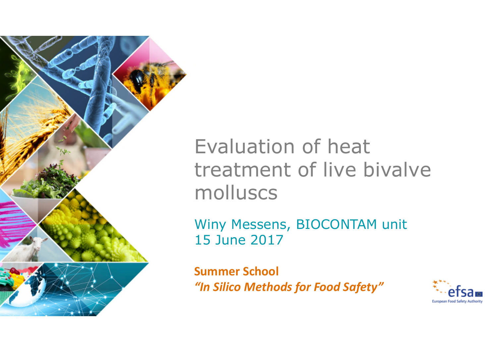

# Evaluation of heat treatment of live bivalve molluscs

Winy Messens, BIOCONTAM unit 15 June 2017

**Summer School** *"In Silico Methods for Food Safety"*

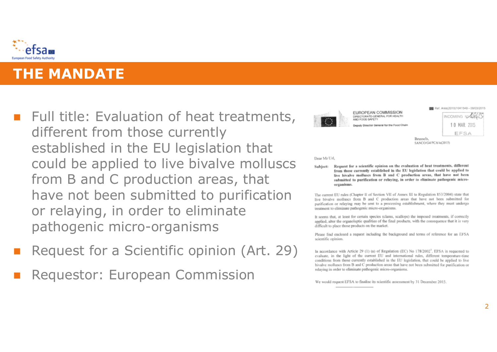

# **THE MANDATE**

- $\blacksquare$  Full title: Evaluation of heat treatments, different from those currently established in the EU legislation that could be applied to live bivalve molluscs from B and C production areas, that have not been submitted to purification or relaying, in order to eliminate pathogenic micro-organisms
- Request for a Scientific opinion (Art. 29)
- Requestor: European Commission



#### **EUROPEAN COMMISSION** DIRECTORATE-GENERAL FOR HEALTH AND EDDD SAFETY

**Nenuty Director General for the Food Chain** 



Brussels. SANCO/G4/PCA/is(2015)

Dear Mr Url.

Subject: Request for a scientific opinion on the evaluation of heat treatments, different from those currently established in the EU legislation that could be applied to live bivalve molluses from B and C production areas, that have not been submitted to purification or relaving, in order to eliminate pathogenic microorganisms.

The current EU rules (Chapter II of Section VII of Annex III to Regulation 853/2004) state that live bivalve molluses from B and C production areas that have not been submitted for purification or relaving may be sent to a processing establishment, where they must undergo treatment to eliminate pathogenic micro-organisms.

It seems that, at least for certain species (clams, scallops) the imposed treatments, if correctly applied, alter the organoleptic qualities of the final products, with the consequence that it is very difficult to place those products on the market.

Please find enclosed a request including the background and terms of reference for an EFSA scientific opinion.

In accordance with Article 29 (1) (a) of Regulation (EC) No  $178/2002'$ . EFSA is requested to evaluate, in the light of the current EU and international rules, different temperature-time conditions from those currently established in the EU legislation, that could be applied to live bivalve molluses from B and C production areas that have not been submitted for purification or relaying in order to eliminate pathogenic micro-organisms.

We would request EFSA to finalise its scientific assessment by 31 December 2015.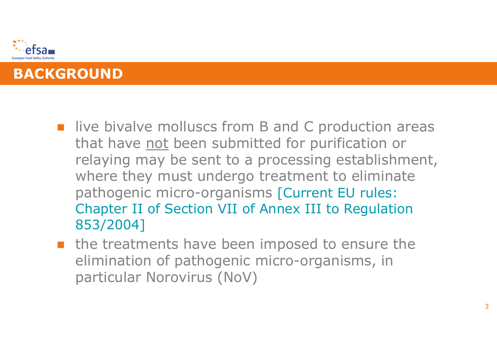

- live bivalve molluscs from B and C production areas that have not been submitted for purification or relaying may be sent to a processing establishment, where they must undergo treatment to eliminate pathogenic micro-organisms [Current EU rules: Chapter II of Section VII of Annex III to Regulation 853/2004]
- **n** the treatments have been imposed to ensure the elimination of pathogenic micro-organisms, in particular Norovirus (NoV)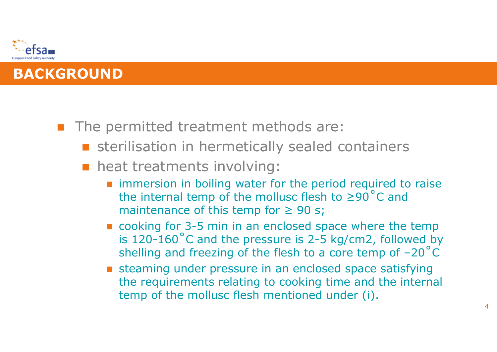

- The permitted treatment methods are:
	- **sterilisation in hermetically sealed containers**
	- **heat treatments involving:** 
		- **n** immersion in boiling water for the period required to raise the internal temp of the mollusc flesh to ≥90˚C and maintenance of this temp for  $\geq 90$  s;
		- cooking for 3-5 min in an enclosed space where the temp is 120-160˚C and the pressure is 2-5 kg/cm2, followed by shelling and freezing of the flesh to a core temp of –20˚C
		- **Exterming under pressure in an enclosed space satisfying** the requirements relating to cooking time and the internal temp of the mollusc flesh mentioned under (i).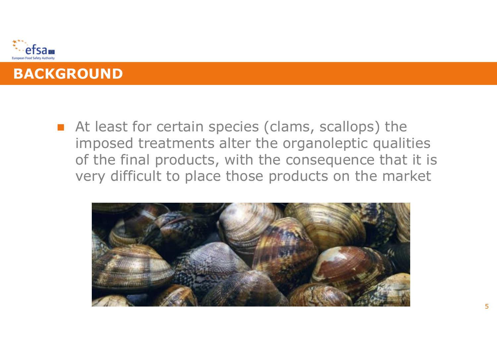



■ At least for certain species (clams, scallops) the imposed treatments alter the organoleptic qualities of the final products, with the consequence that it is very difficult to place those products on the market

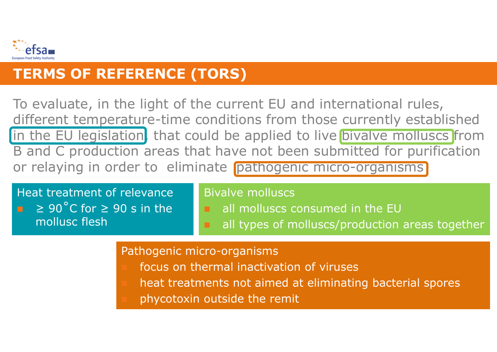

# **TERMS OF REFERENCE (TORS)**

To evaluate, in the light of the current EU and international rules, different temperature-time conditions from those currently established in the EU legislation, that could be applied to live bivalve molluscs from B and C production areas that have not been submitted for purification or relaying in order to eliminate pathogenic micro-organisms

Heat treatment of relevance  $\geq 90^{\circ}$ C for  $\geq 90$  s in the mollusc flesh

#### Bivalve molluscs

- **all molluscs consumed in the EU** 
	- all types of molluscs/production areas together

6

#### Pathogenic micro-organisms

- focus on thermal inactivation of viruses
- heat treatments not aimed at eliminating bacterial spores
- phycotoxin outside the remit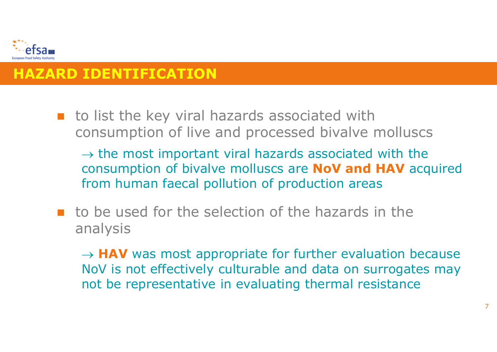

# **HAZARD IDENTIFICATION**

**to list the key viral hazards associated with** consumption of live and processed bivalve molluscs

 $\rightarrow$  the most important viral hazards associated with the consumption of bivalve molluscs are **NoV and HAV** acquired from human faecal pollution of production areas

**to be used for the selection of the hazards in the** analysis

 $\rightarrow$  **HAV** was most appropriate for further evaluation because NoV is not effectively culturable and data on surrogates may not be representative in evaluating thermal resistance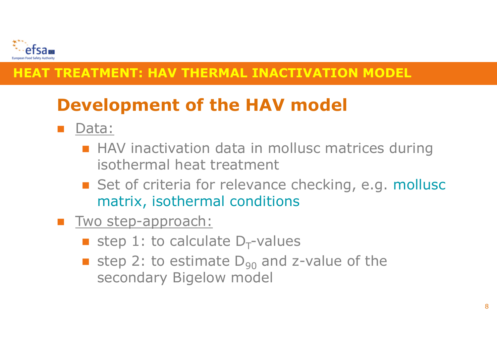

# **Development of the HAV model**

- Data:
	- **HAV** inactivation data in mollusc matrices during isothermal heat treatment
	- Set of criteria for relevance checking, e.g. mollusc matrix, isothermal conditions
- **Two step-approach:** 
	- **step 1: to calculate D<sub>T</sub>-values**
	- **step 2: to estimate D<sub>90</sub> and z-value of the** secondary Bigelow model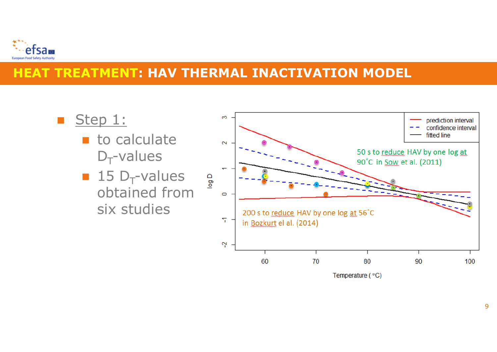

- Step 1:
	- $\blacksquare$  to calculate  $D_T$ -values
	- $\blacksquare$  15 D<sub>T</sub>-values obtained from six studies

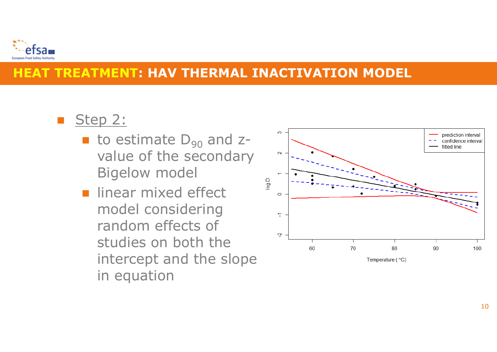

# Step 2:

- $\blacksquare$  to estimate  $D_{90}$  and zvalue of the secondary Bigelow model
- linear mixed effect model considering random effects of studies on both the intercept and the slope in equation

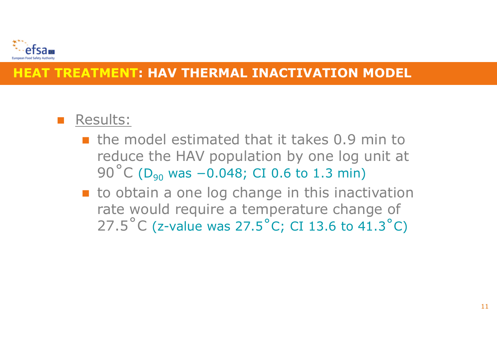

# Results:

- $\blacksquare$  the model estimated that it takes 0.9 min to reduce the HAV population by one log unit at 90<sup>°</sup>C (D<sub>90</sub> was −0.048; CI 0.6 to 1.3 min)
- **to obtain a one log change in this inactivation** rate would require a temperature change of 27.5˚C (z-value was 27.5˚C; CI 13.6 to 41.3˚C)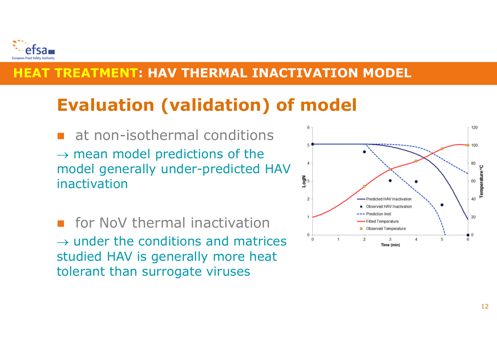

# **Evaluation (validation) of model**

- at non-isothermal conditions  $\rightarrow$  mean model predictions of the model generally under-predicted HAV inactivation
- **For NoV thermal inactivation**  $\rightarrow$  under the conditions and matrices studied HAV is generally more heat tolerant than surrogate viruses

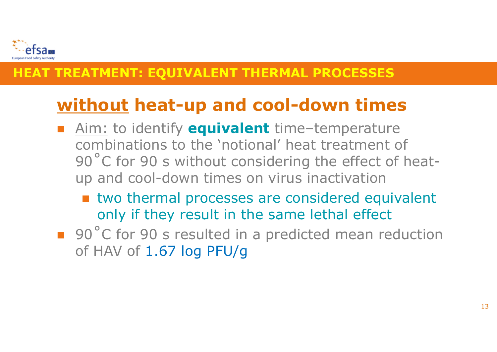

# **without heat-up and cool-down times**

- Aim: to identify **equivalent** time–temperature combinations to the 'notional' heat treatment of 90°C for 90 s without considering the effect of heatup and cool-down times on virus inactivation
	- **u** two thermal processes are considered equivalent only if they result in the same lethal effect
- 90°C for 90 s resulted in a predicted mean reduction of HAV of 1.67 log PFU/g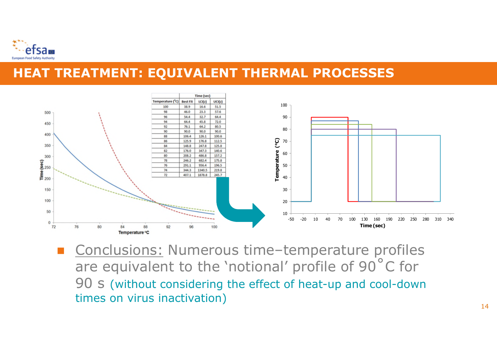



 Conclusions: Numerous time–temperature profiles are equivalent to the 'notional' profile of 90˚C for 90 s (without considering the effect of heat-up and cool-down times on virus inactivation)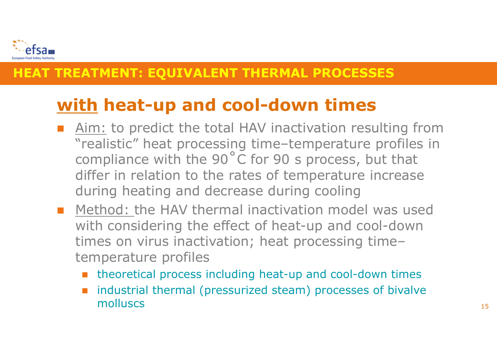

# **with heat-up and cool-down times**

- Aim: to predict the total HAV inactivation resulting from "realistic" heat processing time–temperature profiles in compliance with the 90˚C for 90 s process, but that differ in relation to the rates of temperature increase during heating and decrease during cooling
- **Method: the HAV thermal inactivation model was used** with considering the effect of heat-up and cool-down times on virus inactivation; heat processing time– temperature profiles
	- theoretical process including heat-up and cool-down times
	- industrial thermal (pressurized steam) processes of bivalve molluscs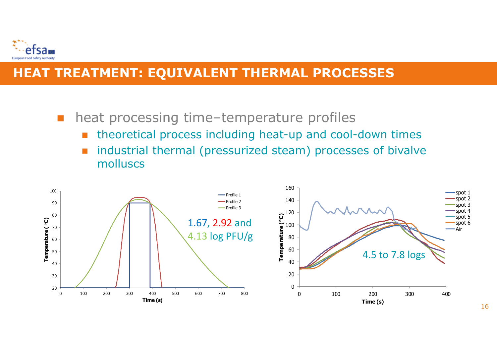

■ heat processing time–temperature profiles

- theoretical process including heat-up and cool-down times
- **n** industrial thermal (pressurized steam) processes of bivalve molluscs

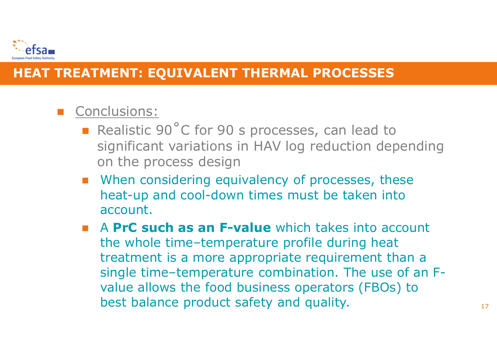

# **Conclusions:**

- Realistic 90°C for 90 s processes, can lead to significant variations in HAV log reduction depending on the process design
- **Number 20 Mileon** Considering equivalency of processes, these heat-up and cool-down times must be taken into account.
- A **PrC such as an F-value** which takes into account the whole time–temperature profile during heat treatment is a more appropriate requirement than a single time–temperature combination. The use of an Fvalue allows the food business operators (FBOs) to best balance product safety and quality.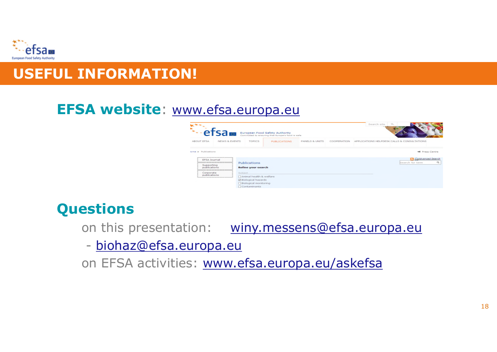

# **USEFUL INFORMATION!**

# **EFSA website**: www.efsa.europa.eu



# **Questions**

on this presentation: winy.messens@efsa.europa.eu

- biohaz@efsa.europa.eu

on EFSA activities: www.efsa.europa.eu/askefsa